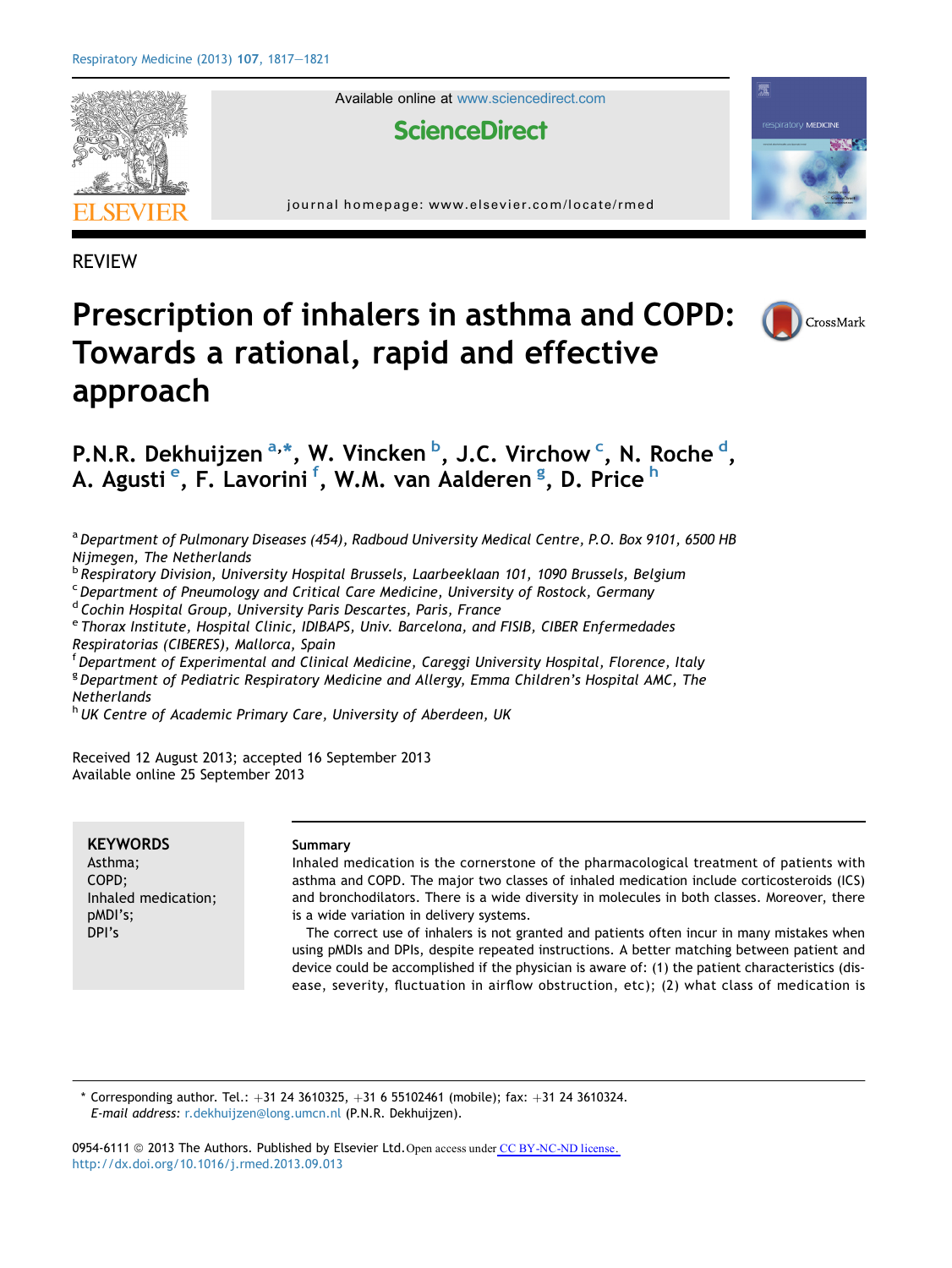

Available online at [www.sciencedirect.com](www.sciencedirect.com/science/journal/09546111)

# **ScienceDirect**

journal homepage: [www.elsevier.com/locate/rmed](http://www.elsevier.com/locate/rmed)

REVIEW

# Prescription of inhalers in asthma and COPD: Towards a rational, rapid and effective approach



霽

respiratory **MEDICINE** 

# P.N.R. Dekhuijzen <sup>a,\*</sup>, W. Vincken <sup>b</sup>, J.C. Virchow <sup>c</sup>, N. Roche <sup>d</sup>, A. Agusti <sup>e</sup>, F. Lavorini <sup>f</sup>, W.M. van Aalderen <sup>g</sup>, D. Price <sup>h</sup>

<sup>a</sup> Department of Pulmonary Diseases (454), Radboud University Medical Centre, P.O. Box 9101, 6500 HB Nijmegen, The Netherlands

<sup>b</sup> Respiratory Division, University Hospital Brussels, Laarbeeklaan 101, 1090 Brussels, Belgium

<sup>c</sup> Department of Pneumology and Critical Care Medicine, University of Rostock, Germany

<sup>d</sup> Cochin Hospital Group, University Paris Descartes, Paris, France

<sup>e</sup> Thorax Institute, Hospital Clinic, IDIBAPS, Univ. Barcelona, and FISIB, CIBER Enfermedades Respiratorias (CIBERES), Mallorca, Spain

<sup>f</sup> Department of Experimental and Clinical Medicine, Careggi University Hospital, Florence, Italy <sup>g</sup> Department of Pediatric Respiratory Medicine and Allergy, Emma Children's Hospital AMC, The **Netherlands** 

h UK Centre of Academic Primary Care, University of Aberdeen, UK

Received 12 August 2013; accepted 16 September 2013 Available online 25 September 2013

**KEYWORDS** Asthma; COPD; Inhaled medication; pMDI's; DPI's

#### Summary

Inhaled medication is the cornerstone of the pharmacological treatment of patients with asthma and COPD. The major two classes of inhaled medication include corticosteroids (ICS) and bronchodilators. There is a wide diversity in molecules in both classes. Moreover, there is a wide variation in delivery systems.

The correct use of inhalers is not granted and patients often incur in many mistakes when using pMDIs and DPIs, despite repeated instructions. A better matching between patient and device could be accomplished if the physician is aware of: (1) the patient characteristics (disease, severity, fluctuation in airflow obstruction, etc); (2) what class of medication is

Corresponding author. Tel.:  $+31$  24 3610325,  $+31$  6 55102461 (mobile); fax:  $+31$  24 3610324. E-mail address: [r.dekhuijzen@long.umcn.nl](mailto:r.dekhuijzen@long.umcn.nl) (P.N.R. Dekhuijzen).

0954-6111  $\odot$  2013 The Authors. Published by Elsevier Ltd. Open access under [CC BY-NC-ND license.](http://creativecommons.org/licenses/by-nc-nd/3.0/) <http://dx.doi.org/10.1016/j.rmed.2013.09.013>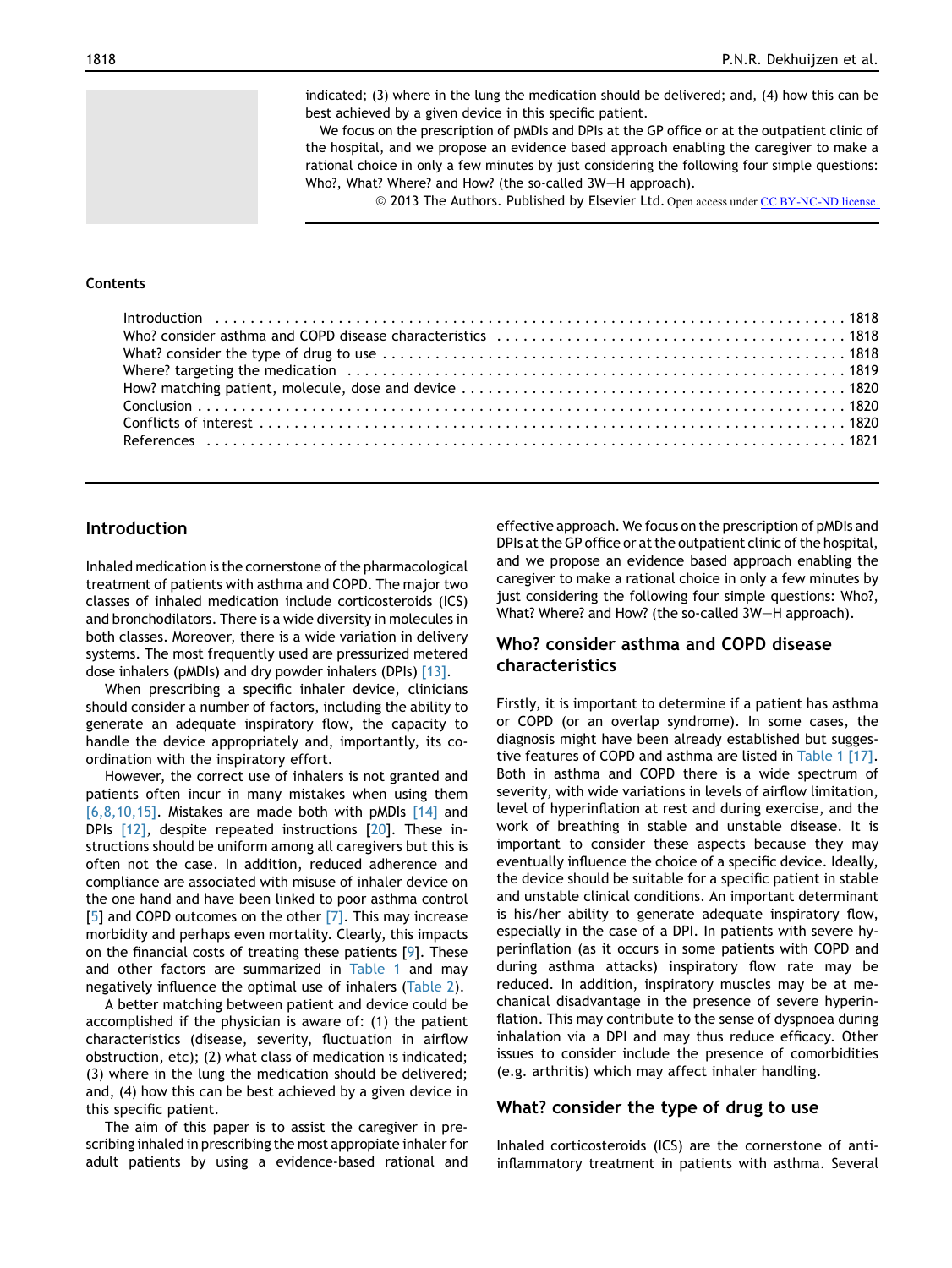indicated; (3) where in the lung the medication should be delivered; and, (4) how this can be best achieved by a given device in this specific patient.

We focus on the prescription of pMDIs and DPIs at the GP office or at the outpatient clinic of the hospital, and we propose an evidence based approach enabling the caregiver to make a rational choice in only a few minutes by just considering the following four simple questions: Who?, What? Where? and How? (the so-called 3W-H approach).

© 2013 The Authors. Published by Elsevier Ltd. Open access under [CC BY-NC-ND license.](http://creativecommons.org/licenses/by-nc-nd/3.0/)

#### Contents

# Introduction

Inhaled medication is the cornerstone of the pharmacological treatment of patients with asthma and COPD. The major two classes of inhaled medication include corticosteroids (ICS) and bronchodilators. There is a wide diversity in molecules in both classes. Moreover, there is a wide variation in delivery systems. The most frequently used are pressurized metered dose inhalers (pMDIs) and dry powder inhalers (DPIs) [\[13\]](#page-4-0).

When prescribing a specific inhaler device, clinicians should consider a number of factors, including the ability to generate an adequate inspiratory flow, the capacity to handle the device appropriately and, importantly, its coordination with the inspiratory effort.

However, the correct use of inhalers is not granted and patients often incur in many mistakes when using them [\[6,8,10,15\]](#page-4-0). Mistakes are made both with pMDIs  $[14]$  and DPIs [\[12\],](#page-4-0) despite repeated instructions [\[20\]](#page-4-0). These instructions should be uniform among all caregivers but this is often not the case. In addition, reduced adherence and compliance are associated with misuse of inhaler device on the one hand and have been linked to poor asthma control [\[5\]](#page-4-0) and COPD outcomes on the other [\[7\]](#page-4-0). This may increase morbidity and perhaps even mortality. Clearly, this impacts on the financial costs of treating these patients [[9\]](#page-4-0). These and other factors are summarized in [Table 1](#page-2-0) and may negatively influence the optimal use of inhalers ([Table 2](#page-2-0)).

A better matching between patient and device could be accomplished if the physician is aware of: (1) the patient characteristics (disease, severity, fluctuation in airflow obstruction, etc); (2) what class of medication is indicated; (3) where in the lung the medication should be delivered; and, (4) how this can be best achieved by a given device in this specific patient.

The aim of this paper is to assist the caregiver in prescribing inhaled in prescribing the most appropiate inhaler for adult patients by using a evidence-based rational and effective approach. We focus on the prescription of pMDIs and DPIs at the GP office or at the outpatient clinic of the hospital, and we propose an evidence based approach enabling the caregiver to make a rational choice in only a few minutes by just considering the following four simple questions: Who?, What? Where? and How? (the so-called 3W-H approach).

# Who? consider asthma and COPD disease characteristics

Firstly, it is important to determine if a patient has asthma or COPD (or an overlap syndrome). In some cases, the diagnosis might have been already established but suggestive features of COPD and asthma are listed in [Table 1](#page-2-0) [\[17\].](#page-4-0) Both in asthma and COPD there is a wide spectrum of severity, with wide variations in levels of airflow limitation, level of hyperinflation at rest and during exercise, and the work of breathing in stable and unstable disease. It is important to consider these aspects because they may eventually influence the choice of a specific device. Ideally, the device should be suitable for a specific patient in stable and unstable clinical conditions. An important determinant is his/her ability to generate adequate inspiratory flow, especially in the case of a DPI. In patients with severe hyperinflation (as it occurs in some patients with COPD and during asthma attacks) inspiratory flow rate may be reduced. In addition, inspiratory muscles may be at mechanical disadvantage in the presence of severe hyperinflation. This may contribute to the sense of dyspnoea during inhalation via a DPI and may thus reduce efficacy. Other issues to consider include the presence of comorbidities (e.g. arthritis) which may affect inhaler handling.

#### What? consider the type of drug to use

Inhaled corticosteroids (ICS) are the cornerstone of antiinflammatory treatment in patients with asthma. Several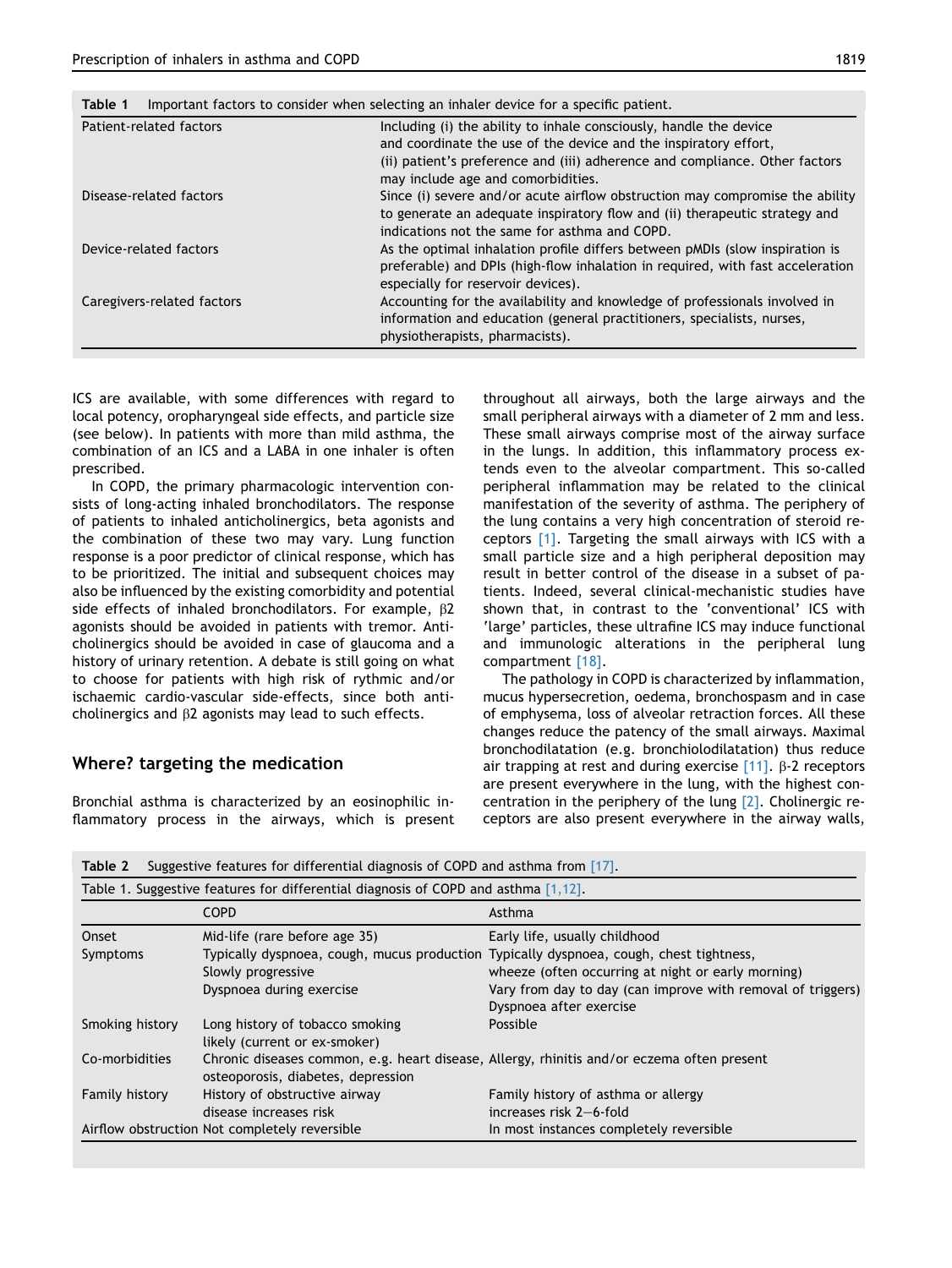| Patient-related factors    | Including (i) the ability to inhale consciously, handle the device             |
|----------------------------|--------------------------------------------------------------------------------|
|                            | and coordinate the use of the device and the inspiratory effort,               |
|                            | (ii) patient's preference and (iii) adherence and compliance. Other factors    |
|                            | may include age and comorbidities.                                             |
| Disease-related factors    | Since (i) severe and/or acute airflow obstruction may compromise the ability   |
|                            | to generate an adequate inspiratory flow and (ii) therapeutic strategy and     |
|                            | indications not the same for asthma and COPD.                                  |
| Device-related factors     | As the optimal inhalation profile differs between pMDIs (slow inspiration is   |
|                            | preferable) and DPIs (high-flow inhalation in required, with fast acceleration |
|                            | especially for reservoir devices).                                             |
| Caregivers-related factors | Accounting for the availability and knowledge of professionals involved in     |
|                            | information and education (general practitioners, specialists, nurses,         |
|                            | physiotherapists, pharmacists).                                                |

<span id="page-2-0"></span>Table 1 Important factors to consider when selecting an inhaler device for a specific patient.

ICS are available, with some differences with regard to local potency, oropharyngeal side effects, and particle size (see below). In patients with more than mild asthma, the combination of an ICS and a LABA in one inhaler is often prescribed.

In COPD, the primary pharmacologic intervention consists of long-acting inhaled bronchodilators. The response of patients to inhaled anticholinergics, beta agonists and the combination of these two may vary. Lung function response is a poor predictor of clinical response, which has to be prioritized. The initial and subsequent choices may also be influenced by the existing comorbidity and potential side effects of inhaled bronchodilators. For example, b2 agonists should be avoided in patients with tremor. Anticholinergics should be avoided in case of glaucoma and a history of urinary retention. A debate is still going on what to choose for patients with high risk of rythmic and/or ischaemic cardio-vascular side-effects, since both anticholinergics and  $\beta$ 2 agonists may lead to such effects.

#### Where? targeting the medication

Bronchial asthma is characterized by an eosinophilic inflammatory process in the airways, which is present throughout all airways, both the large airways and the small peripheral airways with a diameter of 2 mm and less. These small airways comprise most of the airway surface in the lungs. In addition, this inflammatory process extends even to the alveolar compartment. This so-called peripheral inflammation may be related to the clinical manifestation of the severity of asthma. The periphery of the lung contains a very high concentration of steroid receptors [\[1\]](#page-4-0). Targeting the small airways with ICS with a small particle size and a high peripheral deposition may result in better control of the disease in a subset of patients. Indeed, several clinical-mechanistic studies have shown that, in contrast to the 'conventional' ICS with 'large' particles, these ultrafine ICS may induce functional and immunologic alterations in the peripheral lung compartment [\[18\].](#page-4-0)

The pathology in COPD is characterized by inflammation, mucus hypersecretion, oedema, bronchospasm and in case of emphysema, loss of alveolar retraction forces. All these changes reduce the patency of the small airways. Maximal bronchodilatation (e.g. bronchiolodilatation) thus reduce air trapping at rest and during exercise  $[11]$ .  $\beta$ -2 receptors are present everywhere in the lung, with the highest concentration in the periphery of the lung [\[2\]](#page-4-0). Cholinergic receptors are also present everywhere in the airway walls,

|                   | <b>COPD</b>                                                                                                                                                                | Asthma                                                                                                                                             |
|-------------------|----------------------------------------------------------------------------------------------------------------------------------------------------------------------------|----------------------------------------------------------------------------------------------------------------------------------------------------|
| Onset<br>Symptoms | Mid-life (rare before age 35)<br>Typically dyspnoea, cough, mucus production Typically dyspnoea, cough, chest tightness,<br>Slowly progressive<br>Dyspnoea during exercise | Early life, usually childhood<br>wheeze (often occurring at night or early morning)<br>Vary from day to day (can improve with removal of triggers) |
| Smoking history   | Long history of tobacco smoking<br>likely (current or ex-smoker)                                                                                                           | Dyspnoea after exercise<br>Possible                                                                                                                |
| Co-morbidities    | osteoporosis, diabetes, depression                                                                                                                                         | Chronic diseases common, e.g. heart disease, Allergy, rhinitis and/or eczema often present                                                         |
| Family history    | History of obstructive airway<br>disease increases risk                                                                                                                    | Family history of asthma or allergy<br>increases risk 2-6-fold                                                                                     |
|                   | Airflow obstruction Not completely reversible                                                                                                                              | In most instances completely reversible                                                                                                            |

Table 2 Suggestive features for differential diagnosis of COPD and asthma from [\[17\]](#page-4-0).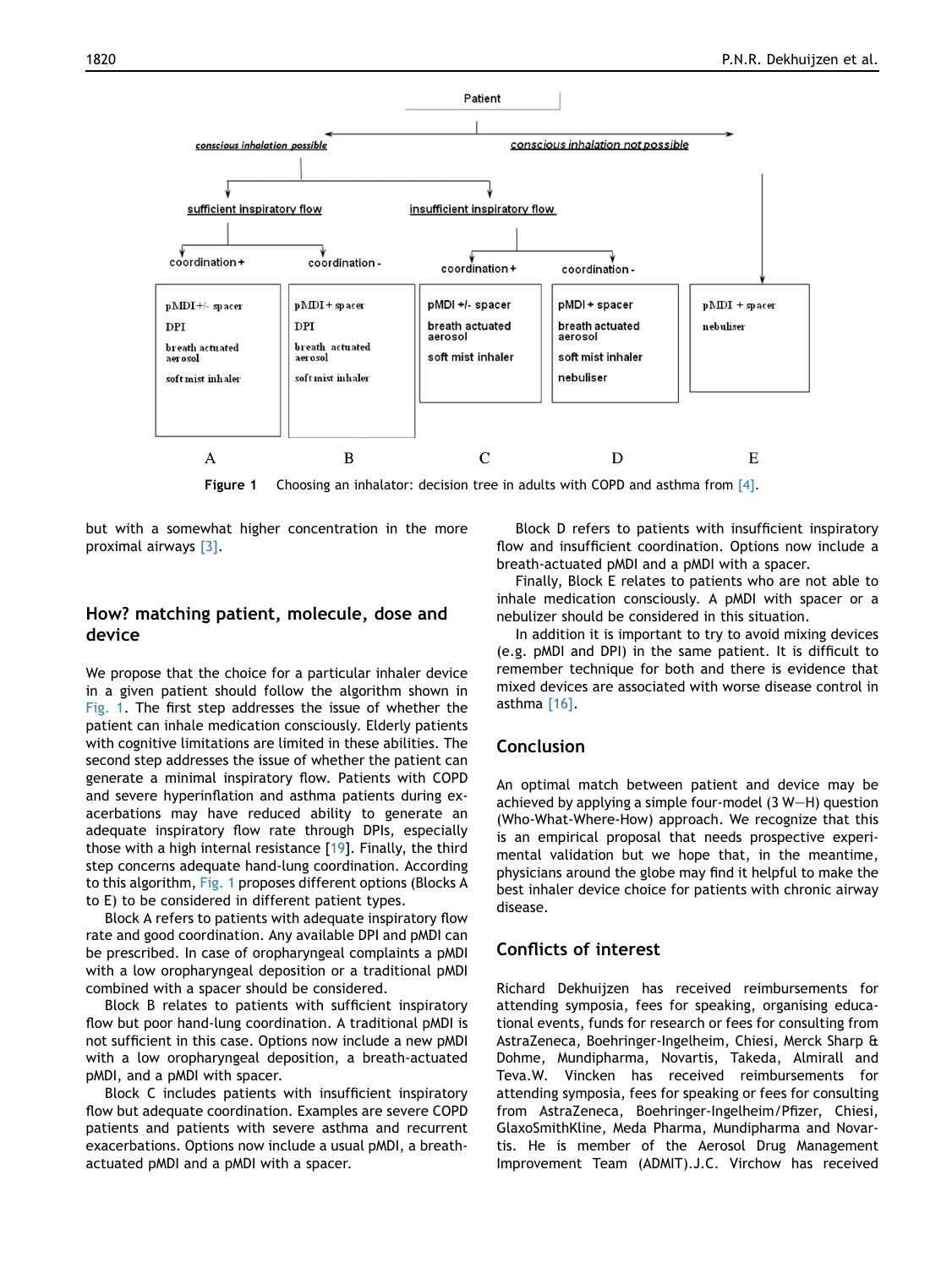

Figure 1 Choosing an inhalator: decision tree in adults with COPD and asthma from [\[4\]](#page-4-0).

but with a somewhat higher concentration in the more proximal airways [\[3\].](#page-4-0)

# How? matching patient, molecule, dose and device

We propose that the choice for a particular inhaler device in a given patient should follow the algorithm shown in Fig. 1. The first step addresses the issue of whether the patient can inhale medication consciously. Elderly patients with cognitive limitations are limited in these abilities. The second step addresses the issue of whether the patient can generate a minimal inspiratory flow. Patients with COPD and severe hyperinflation and asthma patients during exacerbations may have reduced ability to generate an adequate inspiratory flow rate through DPIs, especially those with a high internal resistance [[19](#page-4-0)]. Finally, the third step concerns adequate hand-lung coordination. According to this algorithm, Fig. 1 proposes different options (Blocks A to E) to be considered in different patient types.

Block A refers to patients with adequate inspiratory flow rate and good coordination. Any available DPI and pMDI can be prescribed. In case of oropharyngeal complaints a pMDI with a low oropharyngeal deposition or a traditional pMDI combined with a spacer should be considered.

Block B relates to patients with sufficient inspiratory flow but poor hand-lung coordination. A traditional pMDI is not sufficient in this case. Options now include a new pMDI with a low oropharyngeal deposition, a breath-actuated pMDI, and a pMDI with spacer.

Block C includes patients with insufficient inspiratory flow but adequate coordination. Examples are severe COPD patients and patients with severe asthma and recurrent exacerbations. Options now include a usual pMDI, a breathactuated pMDI and a pMDI with a spacer.

Block D refers to patients with insufficient inspiratory flow and insufficient coordination. Options now include a breath-actuated pMDI and a pMDI with a spacer.

Finally, Block E relates to patients who are not able to inhale medication consciously. A pMDI with spacer or a nebulizer should be considered in this situation.

In addition it is important to try to avoid mixing devices (e.g. pMDI and DPI) in the same patient. It is difficult to remember technique for both and there is evidence that mixed devices are associated with worse disease control in asthma [\[16\].](#page-4-0)

# Conclusion

An optimal match between patient and device may be achieved by applying a simple four-model  $(3 W-H)$  question (Who-What-Where-How) approach. We recognize that this is an empirical proposal that needs prospective experimental validation but we hope that, in the meantime, physicians around the globe may find it helpful to make the best inhaler device choice for patients with chronic airway disease.

# Conflicts of interest

Richard Dekhuijzen has received reimbursements for attending symposia, fees for speaking, organising educational events, funds for research or fees for consulting from AstraZeneca, Boehringer-Ingelheim, Chiesi, Merck Sharp & Dohme, Mundipharma, Novartis, Takeda, Almirall and Teva.W. Vincken has received reimbursements for attending symposia, fees for speaking or fees for consulting from AstraZeneca, Boehringer-Ingelheim/Pfizer, Chiesi, GlaxoSmithKline, Meda Pharma, Mundipharma and Novartis. He is member of the Aerosol Drug Management Improvement Team (ADMIT).J.C. Virchow has received